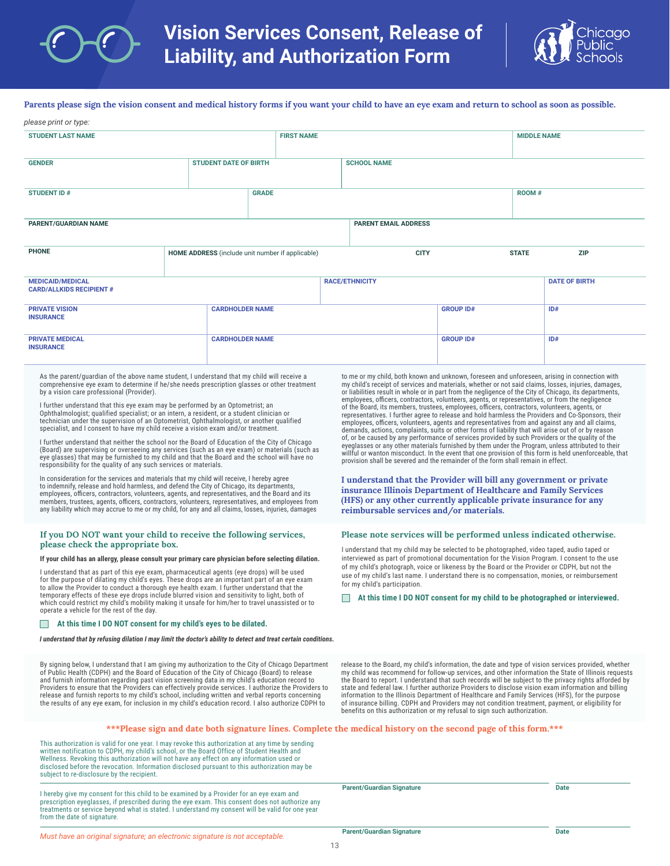

**Parents please sign the vision consent and medical history forms if you want your child to have an eye exam and return to school as soon as possible.** *please print or type:* 

| picase print or type.                                                                                                                                                                                                                                                                                                                                                                                                                                                                                                                                                                                      |  |                                                  |                        |                   |                             |                  |                                                                                                                                                                                                                                                                                                          |                    |                                                                                                                                                                                                                                                                                                                                                                                                                                                                                                                            |
|------------------------------------------------------------------------------------------------------------------------------------------------------------------------------------------------------------------------------------------------------------------------------------------------------------------------------------------------------------------------------------------------------------------------------------------------------------------------------------------------------------------------------------------------------------------------------------------------------------|--|--------------------------------------------------|------------------------|-------------------|-----------------------------|------------------|----------------------------------------------------------------------------------------------------------------------------------------------------------------------------------------------------------------------------------------------------------------------------------------------------------|--------------------|----------------------------------------------------------------------------------------------------------------------------------------------------------------------------------------------------------------------------------------------------------------------------------------------------------------------------------------------------------------------------------------------------------------------------------------------------------------------------------------------------------------------------|
| <b>STUDENT LAST NAME</b>                                                                                                                                                                                                                                                                                                                                                                                                                                                                                                                                                                                   |  |                                                  |                        | <b>FIRST NAME</b> |                             |                  |                                                                                                                                                                                                                                                                                                          | <b>MIDDLE NAME</b> |                                                                                                                                                                                                                                                                                                                                                                                                                                                                                                                            |
| <b>GENDER</b>                                                                                                                                                                                                                                                                                                                                                                                                                                                                                                                                                                                              |  | <b>STUDENT DATE OF BIRTH</b>                     |                        |                   | <b>SCHOOL NAME</b>          |                  |                                                                                                                                                                                                                                                                                                          |                    |                                                                                                                                                                                                                                                                                                                                                                                                                                                                                                                            |
| <b>STUDENT ID#</b>                                                                                                                                                                                                                                                                                                                                                                                                                                                                                                                                                                                         |  |                                                  | <b>GRADE</b>           |                   |                             |                  |                                                                                                                                                                                                                                                                                                          | ROOM #             |                                                                                                                                                                                                                                                                                                                                                                                                                                                                                                                            |
| <b>PARENT/GUARDIAN NAME</b>                                                                                                                                                                                                                                                                                                                                                                                                                                                                                                                                                                                |  |                                                  |                        |                   | <b>PARENT EMAIL ADDRESS</b> |                  |                                                                                                                                                                                                                                                                                                          |                    |                                                                                                                                                                                                                                                                                                                                                                                                                                                                                                                            |
| <b>PHONE</b>                                                                                                                                                                                                                                                                                                                                                                                                                                                                                                                                                                                               |  | HOME ADDRESS (include unit number if applicable) |                        |                   |                             | <b>CITY</b>      |                                                                                                                                                                                                                                                                                                          | <b>STATE</b>       | <b>ZIP</b>                                                                                                                                                                                                                                                                                                                                                                                                                                                                                                                 |
| <b>MEDICAID/MEDICAL</b><br><b>CARD/ALLKIDS RECIPIENT#</b>                                                                                                                                                                                                                                                                                                                                                                                                                                                                                                                                                  |  |                                                  |                        |                   | <b>RACE/ETHNICITY</b>       |                  |                                                                                                                                                                                                                                                                                                          |                    | <b>DATE OF BIRTH</b>                                                                                                                                                                                                                                                                                                                                                                                                                                                                                                       |
| <b>PRIVATE VISION</b><br><b>INSURANCE</b>                                                                                                                                                                                                                                                                                                                                                                                                                                                                                                                                                                  |  |                                                  | <b>CARDHOLDER NAME</b> |                   |                             | <b>GROUP ID#</b> |                                                                                                                                                                                                                                                                                                          | ID#                |                                                                                                                                                                                                                                                                                                                                                                                                                                                                                                                            |
| <b>PRIVATE MEDICAL</b><br><b>INSURANCE</b>                                                                                                                                                                                                                                                                                                                                                                                                                                                                                                                                                                 |  | <b>CARDHOLDER NAME</b>                           |                        |                   |                             |                  | <b>GROUP ID#</b>                                                                                                                                                                                                                                                                                         |                    | ID#                                                                                                                                                                                                                                                                                                                                                                                                                                                                                                                        |
| As the parent/quardian of the above name student, I understand that my child will receive a<br>comprehensive eye exam to determine if he/she needs prescription glasses or other treatment<br>by a vision care professional (Provider).<br>I further understand that this eye exam may be performed by an Optometrist; an<br>Ophthalmologist; qualified specialist; or an intern, a resident, or a student clinician or<br>technician under the supervision of an Optometrist, Ophthalmologist, or another qualified<br>specialist, and I consent to have my child receive a vision exam and/or treatment. |  |                                                  |                        |                   |                             |                  | employees, officers, contractors, volunteers, agents, or representatives, or from the negligence<br>of the Board, its members, trustees, employees, officers, contractors, volunteers, agents, or<br>demands, actions, complaints, suits or other forms of liability that will arise out of or by reason |                    | to me or my child, both known and unknown, foreseen and unforeseen, arising in connection with<br>my child's receipt of services and materials, whether or not said claims, losses, injuries, damages,<br>or liabilities result in whole or in part from the negligence of the City of Chicago, its departments,<br>representatives. I further agree to release and hold harmless the Providers and Co-Sponsors, their<br>employees, officers, volunteers, agents and representatives from and against any and all claims, |

I further understand that neither the school nor the Board of Education of the City of Chicago (Board) are supervising or overseeing any services (such as an eye exam) or materials (such as eye glasses) that may be furnished to my child and that the Board and the school will have no responsibility for the quality of any such services or materials.

In consideration for the services and materials that my child will receive, I hereby agree to indemnify, release and hold harmless, and defend the City of Chicago, its departments,<br>employees, officers, contractors, volunteers, agents, and representatives, and the Board and its members, trustees, agents, officers, contractors, volunteers, representatives, and employees from<br>any liability which may accrue to me or my child, for any and all claims, losses, injuries, damages

## **If you DO NOT want your child to receive the following services, please check the appropriate box.**

**If your child has an allergy, please consult your primary care physician before selecting dilation.** 

I understand that as part of this eye exam, pharmaceutical agents (eye drops) will be used for the purpose of dilating my child's eyes. These drops are an important part of an eye exam to allow the Provider to conduct a thorough eye health exam. I further understand that the temporary effects of these eye drops include blurred vision and sensitivity to light, both of which could restrict my child's mobility making it unsafe for him/her to travel unassisted or to operate a vehicle for the rest of the day.

## **At this time I DO NOT consent for my child's eyes to be dilated.**  $\Box$

*I understand that by refusing dilation I may limit the doctor's ability to detect and treat certain conditions.*

By signing below, I understand that I am giving my authorization to the City of Chicago Department of Public Health (CDPH) and the Board of Education of the City of Chicago (Board) to release and furnish information regarding past vision screening data in my child's education record to Providers to ensure that the Providers can effectively provide services. I authorize the Providers to release and furnish reports to my child's school, including written and verbal reports concerning the results of any eye exam, for inclusion in my child's education record. I also authorize CDPH to

demands, actions, complaints, suits or other forms of liability that will arise out of or by reason of, or be caused by any performance of services provided by such Providers or the quality of the eyeglasses or any other materials furnished by them under the Program, unless attributed to their willful or wanton misconduct. In the event that one provision of this form is held unenforceable, that provision shall be severed and the remainder of the form shall remain in effect.

**I understand that the Provider will bill any government or private insurance Illinois Department of Healthcare and Family Services (HFS) or any other currently applicable private insurance for any reimbursable services and/or materials.**

## **Please note services will be performed unless indicated otherwise.**

I understand that my child may be selected to be photographed, video taped, audio taped or interviewed as part of promotional documentation for the Vision Program. I consent to the use of my child's photograph, voice or likeness by the Board or the Provider or CDPH, but not the use of my child's last name. I understand there is no compensation, monies, or reimbursement for my child's participation.

**At this time I DO NOT consent for my child to be photographed or interviewed.**

release to the Board, my child's information, the date and type of vision services provided, whether my child was recommend for follow-up services, and other information the State of Illinois requests the Board to report. I understand that such records will be subject to the privacy rights afforded by state and federal law. I further authorize Providers to disclose vision exam information and billing information to the Illinois Department of Healthcare and Family Services (HFS), for the purpose of insurance billing. CDPH and Providers may not condition treatment, payment, or eligibility for benefits on this authorization or my refusal to sign such authorization.

## **\*\*\*Please sign and date both signature lines. Complete the medical history on the second page of this form.\*\*\***

This authorization is valid for one year. I may revoke this authorization at any time by sending written notification to CDPH, my child's school, or the Board Office of Student Health and Wellness. Revoking this authorization will not have any effect on any information used or disclosed before the revocation. Information disclosed pursuant to this authorization may be subject to re-disclosure by the recipient.

I hereby give my consent for this child to be examined by a Provider for an eye exam and prescription eyeglasses, if prescribed during the eye exam. This consent does not authorize any treatments or service beyond what is stated. I understand my consent will be valid for one year from the date of signature.

| <b>Parent/Guardian Signature</b> | <b>Date</b> |
|----------------------------------|-------------|
|                                  |             |

*Must have an original signature; an electronic signature is not acceptable.*

|   | .,<br>__ | ۰.<br>v.<br>× |
|---|----------|---------------|
|   |          |               |
|   |          |               |
| ٠ |          |               |
|   |          |               |